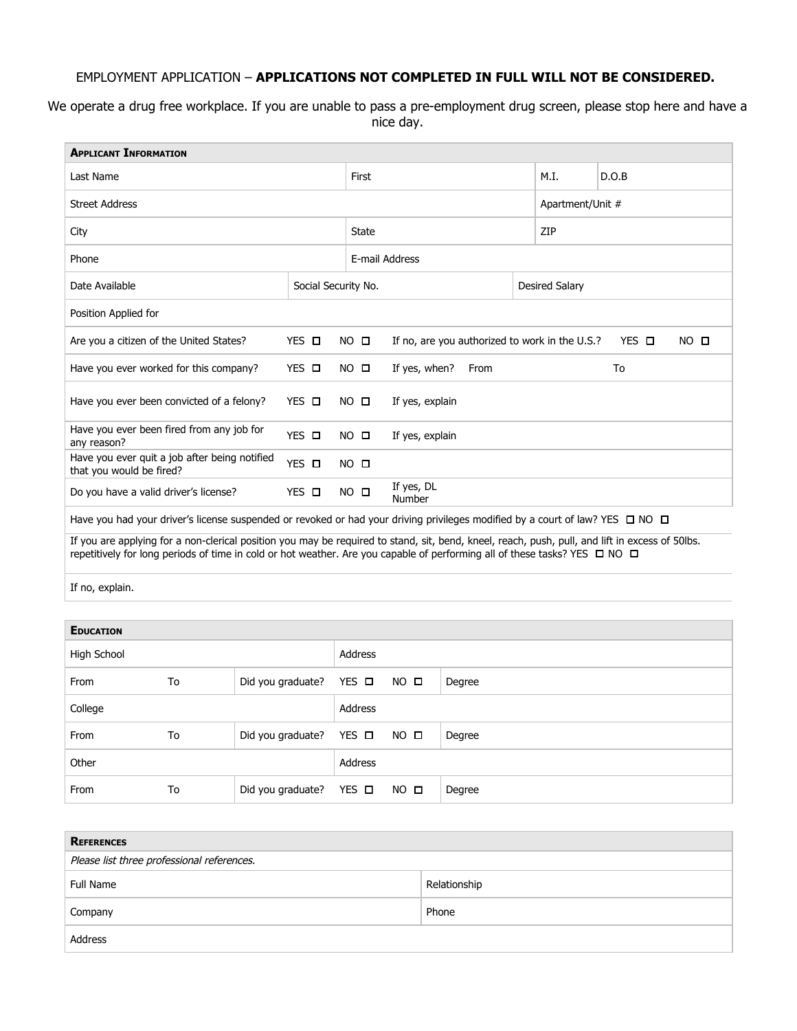## EMPLOYMENT APPLICATION – **APPLICATIONS NOT COMPLETED IN FULL WILL NOT BE CONSIDERED.**

We operate a drug free workplace. If you are unable to pass a pre-employment drug screen, please stop here and have a nice day.

| <b>APPLICANT INFORMATION</b>                                              |                     |                |                                                |                       |                         |  |  |
|---------------------------------------------------------------------------|---------------------|----------------|------------------------------------------------|-----------------------|-------------------------|--|--|
| Last Name                                                                 |                     |                |                                                | M.I.                  | D.O.B                   |  |  |
| <b>Street Address</b>                                                     |                     |                |                                                |                       | Apartment/Unit #        |  |  |
| City                                                                      |                     |                |                                                | ZIP                   |                         |  |  |
| Phone                                                                     |                     |                | E-mail Address                                 |                       |                         |  |  |
| Date Available                                                            | Social Security No. |                |                                                | <b>Desired Salary</b> |                         |  |  |
| Position Applied for                                                      |                     |                |                                                |                       |                         |  |  |
| Are you a citizen of the United States?                                   | YES O               | $NO$ $\square$ | If no, are you authorized to work in the U.S.? |                       | YES O<br>$NO$ $\square$ |  |  |
| Have you ever worked for this company?                                    | YES O               | $NO$ $\square$ | If yes, when?<br>From<br>To                    |                       |                         |  |  |
| Have you ever been convicted of a felony?                                 | YES O               | $NO$ $\square$ | If yes, explain                                |                       |                         |  |  |
| Have you ever been fired from any job for<br>any reason?                  | YES <b>D</b>        | $NO$ $\square$ | If yes, explain                                |                       |                         |  |  |
| Have you ever quit a job after being notified<br>that you would be fired? | YES O               | $NO$ $\square$ |                                                |                       |                         |  |  |
| Do you have a valid driver's license?                                     | YES O               | $NO$ $\square$ | If yes, DL<br>Number                           |                       |                         |  |  |

Have you had your driver's license suspended or revoked or had your driving privileges modified by a court of law? YES □ NO □

If you are applying for a non-clerical position you may be required to stand, sit, bend, kneel, reach, push, pull, and lift in excess of 50lbs. repetitively for long periods of time in cold or hot weather. Are you capable of performing all of these tasks? YES □ NO □

If no, explain.

| <b>EDUCATION</b> |    |                                 |                |                |        |
|------------------|----|---------------------------------|----------------|----------------|--------|
| High School      |    | Address                         |                |                |        |
| From             | To | Did you graduate? YES $\Box$    |                | $NO$ $\square$ | Degree |
| College          |    |                                 | <b>Address</b> |                |        |
| From             | To | Did you graduate? YES $\Box$    |                | $NO$ $\square$ | Degree |
| Other            |    | Address                         |                |                |        |
| From             | To | Did you graduate? YES $\square$ |                | NO O           | Degree |

| <b>REFERENCES</b>                          |              |  |  |  |
|--------------------------------------------|--------------|--|--|--|
| Please list three professional references. |              |  |  |  |
| Full Name                                  | Relationship |  |  |  |
| Company                                    | Phone        |  |  |  |
| Address                                    |              |  |  |  |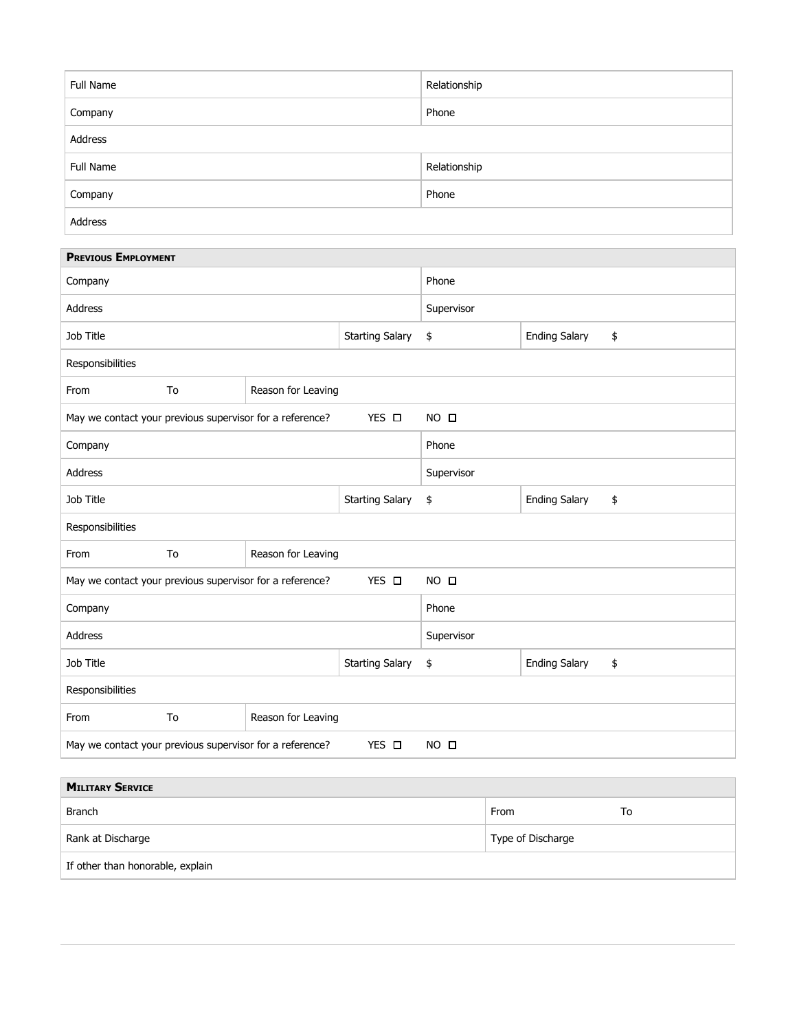| Full Name | Relationship |
|-----------|--------------|
| Company   | Phone        |
| Address   |              |
| Full Name | Relationship |
| Company   | Phone        |
| Address   |              |

m.

| <b>PREVIOUS EMPLOYMENT</b>                                                                    |                        |                      |                      |    |  |  |
|-----------------------------------------------------------------------------------------------|------------------------|----------------------|----------------------|----|--|--|
| Company                                                                                       | Phone                  |                      |                      |    |  |  |
| <b>Address</b>                                                                                | Supervisor             |                      |                      |    |  |  |
| Job Title                                                                                     | <b>Starting Salary</b> | \$                   | <b>Ending Salary</b> | \$ |  |  |
| Responsibilities                                                                              |                        |                      |                      |    |  |  |
| To<br>From<br>Reason for Leaving                                                              |                        |                      |                      |    |  |  |
| May we contact your previous supervisor for a reference?                                      | $NO$ $\square$         |                      |                      |    |  |  |
| Company                                                                                       | Phone                  |                      |                      |    |  |  |
| <b>Address</b>                                                                                | Supervisor             |                      |                      |    |  |  |
| Job Title                                                                                     | <b>Starting Salary</b> | \$                   | <b>Ending Salary</b> | \$ |  |  |
| Responsibilities                                                                              |                        |                      |                      |    |  |  |
| To<br>Reason for Leaving<br>From                                                              |                        |                      |                      |    |  |  |
| $YES$ $\square$<br>May we contact your previous supervisor for a reference?<br>$NO$ $\square$ |                        |                      |                      |    |  |  |
| Company                                                                                       | Phone                  |                      |                      |    |  |  |
| <b>Address</b>                                                                                | Supervisor             |                      |                      |    |  |  |
| Job Title                                                                                     | \$                     | <b>Ending Salary</b> | \$                   |    |  |  |
| Responsibilities                                                                              |                        |                      |                      |    |  |  |
| To<br>Reason for Leaving<br>From                                                              |                        |                      |                      |    |  |  |
| YES O<br>May we contact your previous supervisor for a reference?<br>$NO$ $\square$           |                        |                      |                      |    |  |  |

| <b>MILITARY SERVICE</b>          |                   |    |  |  |  |  |
|----------------------------------|-------------------|----|--|--|--|--|
| <b>Branch</b>                    | From              | 10 |  |  |  |  |
| Rank at Discharge                | Type of Discharge |    |  |  |  |  |
| If other than honorable, explain |                   |    |  |  |  |  |